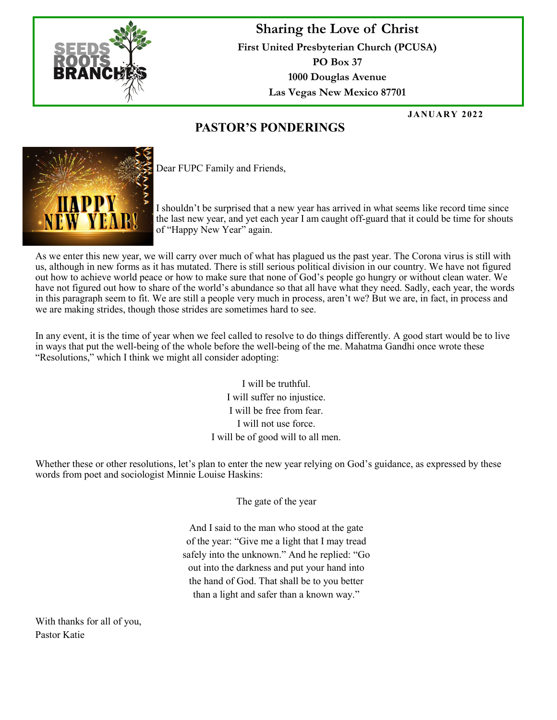

## **Sharing the Love of Christ First United Presbyterian Church (PCUSA) PO Box 37 1000 Douglas Avenue Las Vegas New Mexico 87701**

**JANUARY 2022**

## **PASTOR'S PONDERINGS**



Dear FUPC Family and Friends,

I shouldn't be surprised that a new year has arrived in what seems like record time since the last new year, and yet each year I am caught off-guard that it could be time for shouts of "Happy New Year" again.

As we enter this new year, we will carry over much of what has plagued us the past year. The Corona virus is still with us, although in new forms as it has mutated. There is still serious political division in our country. We have not figured out how to achieve world peace or how to make sure that none of God's people go hungry or without clean water. We have not figured out how to share of the world's abundance so that all have what they need. Sadly, each year, the words in this paragraph seem to fit. We are still a people very much in process, aren't we? But we are, in fact, in process and we are making strides, though those strides are sometimes hard to see.

In any event, it is the time of year when we feel called to resolve to do things differently. A good start would be to live in ways that put the well-being of the whole before the well-being of the me. Mahatma Gandhi once wrote these "Resolutions," which I think we might all consider adopting:

> I will be truthful. I will suffer no injustice. I will be free from fear. I will not use force. I will be of good will to all men.

Whether these or other resolutions, let's plan to enter the new year relying on God's guidance, as expressed by these words from poet and sociologist Minnie Louise Haskins:

The gate of the year

And I said to the man who stood at the gate of the year: "Give me a light that I may tread safely into the unknown." And he replied: "Go out into the darkness and put your hand into the hand of God. That shall be to you better than a light and safer than a known way."

With thanks for all of you, Pastor Katie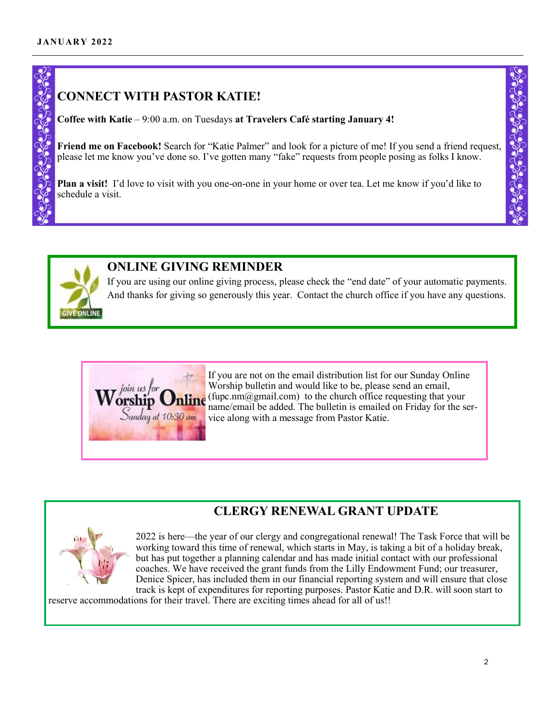## **CONNECT WITH PASTOR KATIE!**

**Coffee with Katie** – 9:00 a.m. on Tuesdays **at Travelers Café starting January 4!**

**Friend me on Facebook!** Search for "Katie Palmer" and look for a picture of me! If you send a friend request, please let me know you've done so. I've gotten many "fake" requests from people posing as folks I know.

**Plan a visit!** I'd love to visit with you one-on-one in your home or over tea. Let me know if you'd like to schedule a visit.



### **ONLINE GIVING REMINDER**

If you are using our online giving process, please check the "end date" of your automatic payments. And thanks for giving so generously this year. Contact the church office if you have any questions.



If you are not on the email distribution list for our Sunday Online Worship bulletin and would like to be, please send an email, (fupc.nm $@g$ mail.com) to the church office requesting that your name/email be added. The bulletin is emailed on Friday for the service along with a message from Pastor Katie.

## **CLERGY RENEWAL GRANT UPDATE**



2022 is here—the year of our clergy and congregational renewal! The Task Force that will be working toward this time of renewal, which starts in May, is taking a bit of a holiday break, but has put together a planning calendar and has made initial contact with our professional coaches. We have received the grant funds from the Lilly Endowment Fund; our treasurer, Denice Spicer, has included them in our financial reporting system and will ensure that close track is kept of expenditures for reporting purposes. Pastor Katie and D.R. will soon start to

reserve accommodations for their travel. There are exciting times ahead for all of us!!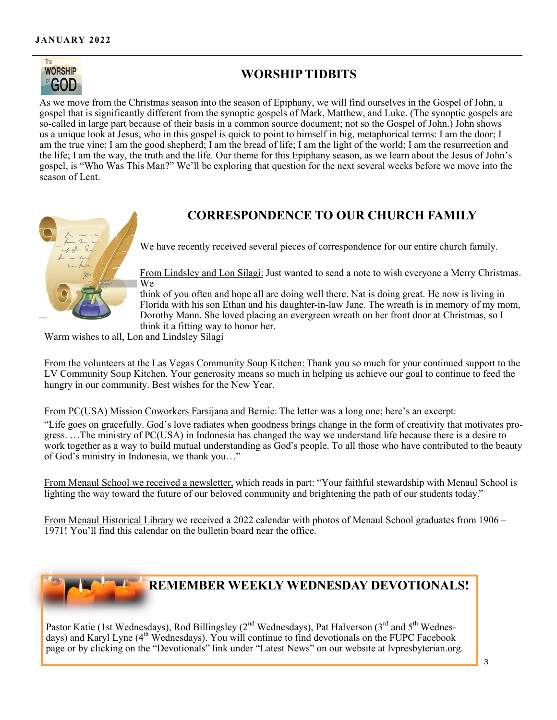

## **WORSHIP TIDBITS**

As we move from the Christmas season into the season of Epiphany, we will find ourselves in the Gospel of John, a gospel that is significantly different from the synoptic gospels of Mark, Matthew, and Luke. (The synoptic gospels are so-called in large part because of their basis in a common source document; not so the Gospel of John.) John shows us a unique look at Jesus, who in this gospel is quick to point to himself in big, metaphorical terms: I am the door; I am the true vine; I am the good shepherd; I am the bread of life; I am the light of the world; I am the resurrection and the life; I am the way, the truth and the life. Our theme for this Epiphany season, as we learn about the Jesus of John's gospel, is "Who Was This Man?" We'll be exploring that question for the next several weeks before we move into the season of Lent.

# **CORRESPONDENCE TO OUR CHURCH FAMILY**

We have recently received several pieces of correspondence for our entire church family.

From Lindsley and Lon Silagi: Just wanted to send a note to wish everyone a Merry Christmas. We

think of you often and hope all are doing well there. Nat is doing great. He now is living in Florida with his son Ethan and his daughter-in-law Jane. The wreath is in memory of my mom, Dorothy Mann. She loved placing an evergreen wreath on her front door at Christmas, so I think it a fitting way to honor her.

Warm wishes to all, Lon and Lindsley Silagi

From the volunteers at the Las Vegas Community Soup Kitchen: Thank you so much for your continued support to the LV Community Soup Kitchen. Your generosity means so much in helping us achieve our goal to continue to feed the hungry in our community. Best wishes for the New Year.

From PC(USA) Mission Coworkers Farsijana and Bernie: The letter was a long one; here's an excerpt:

"Life goes on gracefully. God's love radiates when goodness brings change in the form of creativity that motivates progress. …The ministry of PC(USA) in Indonesia has changed the way we understand life because there is a desire to work together as a way to build mutual understanding as God's people. To all those who have contributed to the beauty of God's ministry in Indonesia, we thank you…"

From Menaul School we received a newsletter, which reads in part: "Your faithful stewardship with Menaul School is lighting the way toward the future of our beloved community and brightening the path of our students today."

From Menaul Historical Library we received a 2022 calendar with photos of Menaul School graduates from 1906 – 1971! You'll find this calendar on the bulletin board near the office.



Pastor Katie (1st Wednesdays), Rod Billingsley (2<sup>nd</sup> Wednesdays), Pat Halverson (3<sup>rd</sup> and 5<sup>th</sup> Wednesdays) and Karyl Lyne (4<sup>th</sup> Wednesdays). You will continue to find devotionals on the FUPC Facebook page or by clicking on the "Devotionals" link under "Latest News" on our website at lvpresbyterian.org.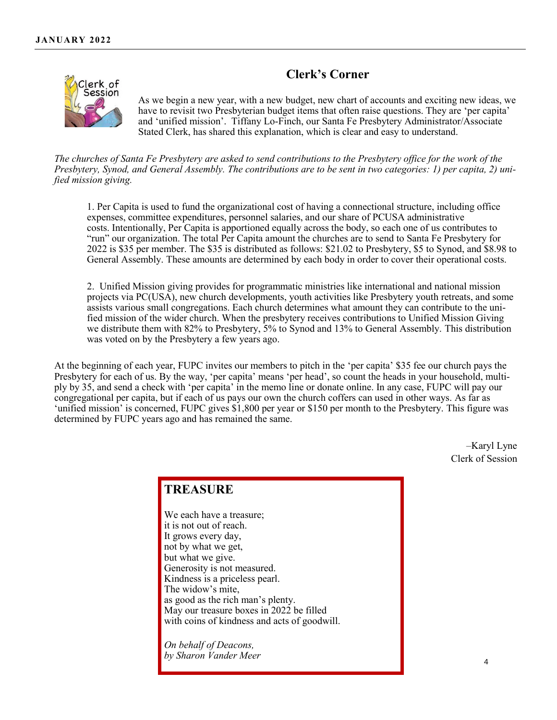#### **Clerk's Corner**



As we begin a new year, with a new budget, new chart of accounts and exciting new ideas, we have to revisit two Presbyterian budget items that often raise questions. They are 'per capita' and 'unified mission'. Tiffany Lo-Finch, our Santa Fe Presbytery Administrator/Associate Stated Clerk, has shared this explanation, which is clear and easy to understand.

*The churches of Santa Fe Presbytery are asked to send contributions to the Presbytery office for the work of the Presbytery, Synod, and General Assembly. The contributions are to be sent in two categories: 1) per capita, 2) unified mission giving.*

1. Per Capita is used to fund the organizational cost of having a connectional structure, including office expenses, committee expenditures, personnel salaries, and our share of PCUSA administrative costs. Intentionally, Per Capita is apportioned equally across the body, so each one of us contributes to "run" our organization. The total Per Capita amount the churches are to send to Santa Fe Presbytery for 2022 is \$35 per member. The \$35 is distributed as follows: \$21.02 to Presbytery, \$5 to Synod, and \$8.98 to General Assembly. These amounts are determined by each body in order to cover their operational costs.

2. Unified Mission giving provides for programmatic ministries like international and national mission projects via PC(USA), new church developments, youth activities like Presbytery youth retreats, and some assists various small congregations. Each church determines what amount they can contribute to the unified mission of the wider church. When the presbytery receives contributions to Unified Mission Giving we distribute them with 82% to Presbytery, 5% to Synod and 13% to General Assembly. This distribution was voted on by the Presbytery a few years ago.

At the beginning of each year, FUPC invites our members to pitch in the 'per capita' \$35 fee our church pays the Presbytery for each of us. By the way, 'per capita' means 'per head', so count the heads in your household, multiply by 35, and send a check with 'per capita' in the memo line or donate online. In any case, FUPC will pay our congregational per capita, but if each of us pays our own the church coffers can used in other ways. As far as 'unified mission' is concerned, FUPC gives \$1,800 per year or \$150 per month to the Presbytery. This figure was determined by FUPC years ago and has remained the same.

> –Karyl Lyne Clerk of Session

### **TREASURE**

We each have a treasure; it is not out of reach. It grows every day, not by what we get, but what we give. Generosity is not measured. Kindness is a priceless pearl. The widow's mite, as good as the rich man's plenty. May our treasure boxes in 2022 be filled with coins of kindness and acts of goodwill.

*On behalf of Deacons, by Sharon Vander Meer*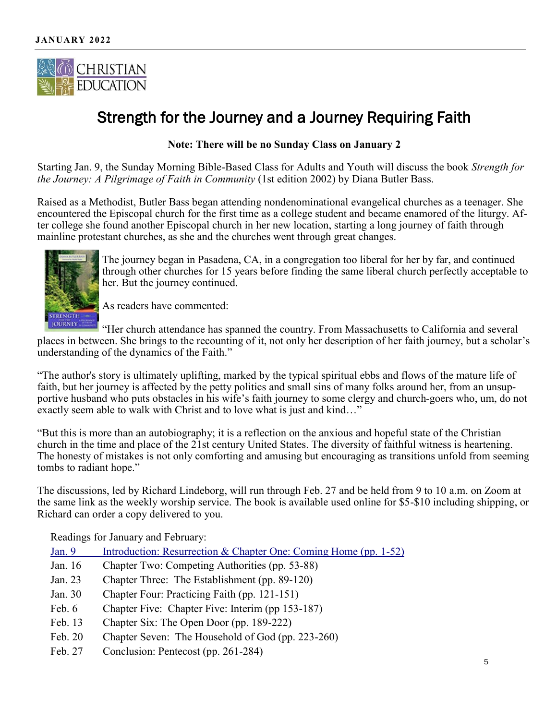

# Strength for the Journey and a Journey Requiring Faith

**Note: There will be no Sunday Class on January 2**

Starting Jan. 9, the Sunday Morning Bible-Based Class for Adults and Youth will discuss the book *Strength for the Journey: A Pilgrimage of Faith in Community* (1st edition 2002) by Diana Butler Bass.

Raised as a Methodist, Butler Bass began attending nondenominational evangelical churches as a teenager. She encountered the Episcopal church for the first time as a college student and became enamored of the liturgy. After college she found another Episcopal church in her new location, starting a long journey of faith through mainline protestant churches, as she and the churches went through great changes.



The journey began in Pasadena, CA, in a congregation too liberal for her by far, and continued through other churches for 15 years before finding the same liberal church perfectly acceptable to her. But the journey continued.

As readers have commented:

"Her church attendance has spanned the country. From Massachusetts to California and several places in between. She brings to the recounting of it, not only her description of her faith journey, but a scholar's understanding of the dynamics of the Faith."

"The author's story is ultimately uplifting, marked by the typical spiritual ebbs and flows of the mature life of faith, but her journey is affected by the petty politics and small sins of many folks around her, from an unsupportive husband who puts obstacles in his wife's faith journey to some clergy and church-goers who, um, do not exactly seem able to walk with Christ and to love what is just and kind…"

"But this is more than an autobiography; it is a reflection on the anxious and hopeful state of the Christian church in the time and place of the 21st century United States. The diversity of faithful witness is heartening. The honesty of mistakes is not only comforting and amusing but encouraging as transitions unfold from seeming tombs to radiant hope."

The discussions, led by Richard Lindeborg, will run through Feb. 27 and be held from 9 to 10 a.m. on Zoom at the same link as the weekly worship service. The book is available used online for \$5-\$10 including shipping, or Richard can order a copy delivered to you.

Readings for January and February:

| Jan. $9$ | Introduction: Resurrection & Chapter One: Coming Home (pp. 1-52) |
|----------|------------------------------------------------------------------|
| Jan. 16  | Chapter Two: Competing Authorities (pp. 53-88)                   |
| Jan. 23  | Chapter Three: The Establishment (pp. 89-120)                    |
| Jan. 30  | Chapter Four: Practicing Faith (pp. 121-151)                     |
| Feb. 6   | Chapter Five: Chapter Five: Interim (pp 153-187)                 |
| Feb. 13  | Chapter Six: The Open Door (pp. 189-222)                         |
| Feb. 20  | Chapter Seven: The Household of God (pp. 223-260)                |
| Feb. 27  | Conclusion: Pentecost (pp. 261-284)                              |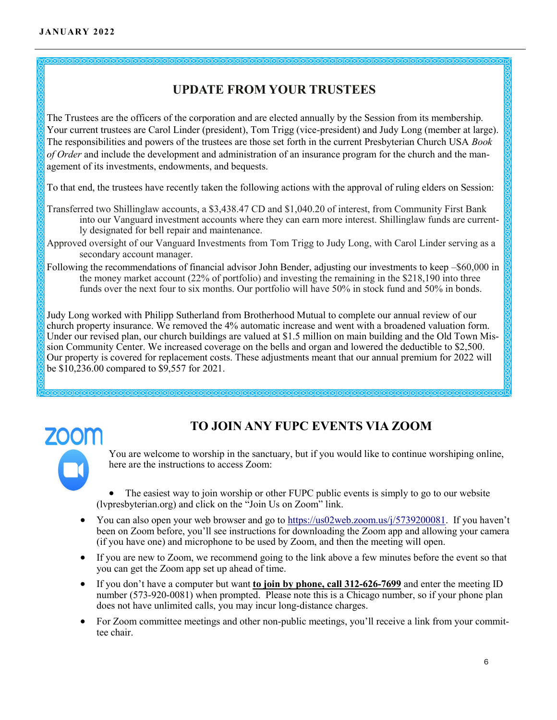

The Trustees are the officers of the corporation and are elected annually by the Session from its membership. Your current trustees are Carol Linder (president), Tom Trigg (vice-president) and Judy Long (member at large). The responsibilities and powers of the trustees are those set forth in the current Presbyterian Church USA *Book of Order* and include the development and administration of an insurance program for the church and the management of its investments, endowments, and bequests.

To that end, the trustees have recently taken the following actions with the approval of ruling elders on Session:

- Transferred two Shillinglaw accounts, a \$3,438.47 CD and \$1,040.20 of interest, from Community First Bank into our Vanguard investment accounts where they can earn more interest. Shillinglaw funds are currently designated for bell repair and maintenance.
- Approved oversight of our Vanguard Investments from Tom Trigg to Judy Long, with Carol Linder serving as a secondary account manager.
- Following the recommendations of financial advisor John Bender, adjusting our investments to keep –\$60,000 in the money market account (22% of portfolio) and investing the remaining in the \$218,190 into three funds over the next four to six months. Our portfolio will have 50% in stock fund and 50% in bonds.

Judy Long worked with Philipp Sutherland from Brotherhood Mutual to complete our annual review of our church property insurance. We removed the 4% automatic increase and went with a broadened valuation form. Under our revised plan, our church buildings are valued at \$1.5 million on main building and the Old Town Mission Community Center. We increased coverage on the bells and organ and lowered the deductible to \$2,500. Our property is covered for replacement costs. These adjustments meant that our annual premium for 2022 will be \$10,236.00 compared to \$9,557 for 2021.



## **TO JOIN ANY FUPC EVENTS VIA ZOOM**

You are welcome to worship in the sanctuary, but if you would like to continue worshiping online, here are the instructions to access Zoom:

The easiest way to join worship or other FUPC public events is simply to go to our website (lvpresbyterian.org) and click on the "Join Us on Zoom" link.

- You can also open your web browser and go to [https://us02web.zoom.us/j/5739200081.](https://us02web.zoom.us/j/5739200081) If you haven't been on Zoom before, you'll see instructions for downloading the Zoom app and allowing your camera (if you have one) and microphone to be used by Zoom, and then the meeting will open.
- If you are new to Zoom, we recommend going to the link above a few minutes before the event so that you can get the Zoom app set up ahead of time.
- If you don't have a computer but want **to join by phone, call 312-626-7699** and enter the meeting ID number (573-920-0081) when prompted. Please note this is a Chicago number, so if your phone plan does not have unlimited calls, you may incur long-distance charges.
- For Zoom committee meetings and other non-public meetings, you'll receive a link from your committee chair.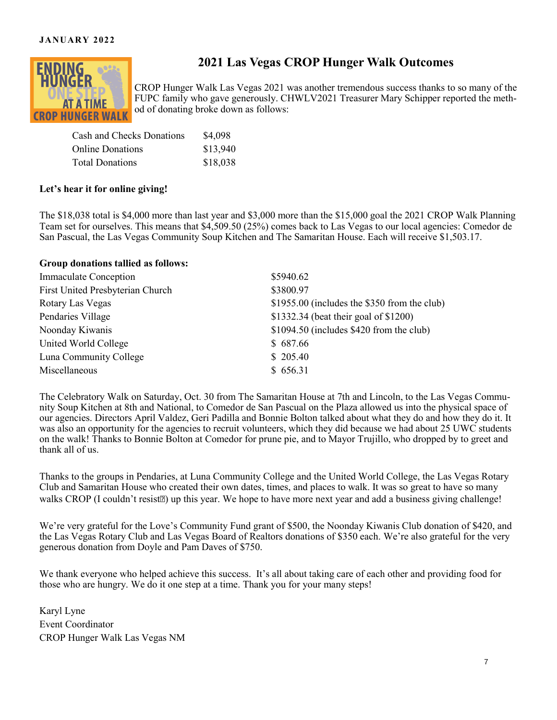#### **JANUARY 2022**



## **2021 Las Vegas CROP Hunger Walk Outcomes**

CROP Hunger Walk Las Vegas 2021 was another tremendous success thanks to so many of the FUPC family who gave generously. CHWLV2021 Treasurer Mary Schipper reported the method of donating broke down as follows:

| Cash and Checks Donations | \$4,098  |
|---------------------------|----------|
| Online Donations          | \$13,940 |
| <b>Total Donations</b>    | \$18,038 |

#### **Let's hear it for online giving!**

The \$18,038 total is \$4,000 more than last year and \$3,000 more than the \$15,000 goal the 2021 CROP Walk Planning Team set for ourselves. This means that \$4,509.50 (25%) comes back to Las Vegas to our local agencies: Comedor de San Pascual, the Las Vegas Community Soup Kitchen and The Samaritan House. Each will receive \$1,503.17.

#### **Group donations tallied as follows:**

| <b>Immaculate Conception</b>     | \$5940.62                                    |
|----------------------------------|----------------------------------------------|
| First United Presbyterian Church | \$3800.97                                    |
| Rotary Las Vegas                 | \$1955.00 (includes the \$350 from the club) |
| Pendaries Village                | \$1332.34 (beat their goal of \$1200)        |
| Noonday Kiwanis                  | $$1094.50$ (includes $$420$ from the club)   |
| United World College             | \$687.66                                     |
| Luna Community College           | \$205.40                                     |
| Miscellaneous                    | \$656.31                                     |

The Celebratory Walk on Saturday, Oct. 30 from The Samaritan House at 7th and Lincoln, to the Las Vegas Community Soup Kitchen at 8th and National, to Comedor de San Pascual on the Plaza allowed us into the physical space of our agencies. Directors April Valdez, Geri Padilla and Bonnie Bolton talked about what they do and how they do it. It was also an opportunity for the agencies to recruit volunteers, which they did because we had about 25 UWC students on the walk! Thanks to Bonnie Bolton at Comedor for prune pie, and to Mayor Trujillo, who dropped by to greet and thank all of us.

Thanks to the groups in Pendaries, at Luna Community College and the United World College, the Las Vegas Rotary Club and Samaritan House who created their own dates, times, and places to walk. It was so great to have so many walks CROP (I couldn't resist<sup>[2]</sup>) up this year. We hope to have more next year and add a business giving challenge!

We're very grateful for the Love's Community Fund grant of \$500, the Noonday Kiwanis Club donation of \$420, and the Las Vegas Rotary Club and Las Vegas Board of Realtors donations of \$350 each. We're also grateful for the very generous donation from Doyle and Pam Daves of \$750.

We thank everyone who helped achieve this success. It's all about taking care of each other and providing food for those who are hungry. We do it one step at a time. Thank you for your many steps!

Karyl Lyne Event Coordinator CROP Hunger Walk Las Vegas NM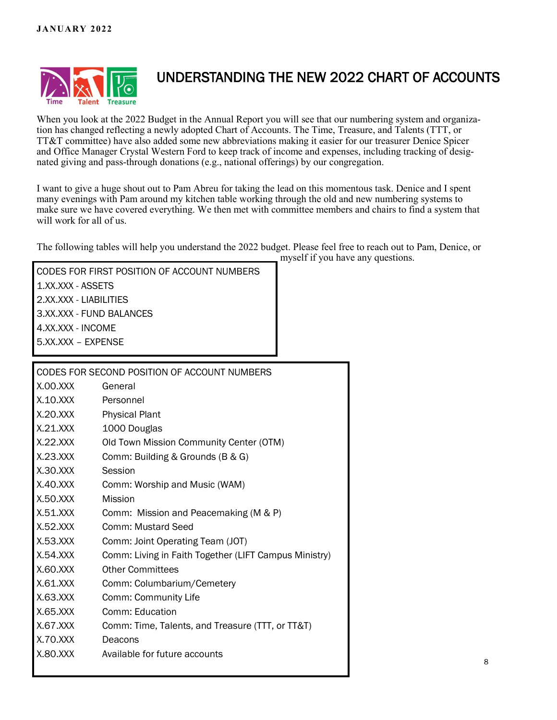

# UNDERSTANDING THE NEW 2022 CHART OF ACCOUNTS

When you look at the 2022 Budget in the Annual Report you will see that our numbering system and organization has changed reflecting a newly adopted Chart of Accounts. The Time, Treasure, and Talents (TTT, or TT&T committee) have also added some new abbreviations making it easier for our treasurer Denice Spicer and Office Manager Crystal Western Ford to keep track of income and expenses, including tracking of designated giving and pass-through donations (e.g., national offerings) by our congregation.

I want to give a huge shout out to Pam Abreu for taking the lead on this momentous task. Denice and I spent many evenings with Pam around my kitchen table working through the old and new numbering systems to make sure we have covered everything. We then met with committee members and chairs to find a system that will work for all of us.

The following tables will help you understand the 2022 budget. Please feel free to reach out to Pam, Denice, or myself if you have any questions.

| CODES FOR FIRST POSITION OF ACCOUNT NUMBERS |
|---------------------------------------------|
| 1.XX.XXX - ASSETS                           |
| 2.XX.XXX - LIABILITIES                      |
| 3.XX.XXX - FUND BALANCES                    |
| 4.XX.XXX - INCOME                           |
| 5.XX.XXX - EXPENSE                          |
|                                             |

| CODES FOR SECOND POSITION OF ACCOUNT NUMBERS |                                                       |  |
|----------------------------------------------|-------------------------------------------------------|--|
| X.00.XXX                                     | General                                               |  |
| X.10.XXX                                     | Personnel                                             |  |
| X.20.XXX                                     | <b>Physical Plant</b>                                 |  |
| X.21.XXX                                     | 1000 Douglas                                          |  |
| X.22.XXX                                     | Old Town Mission Community Center (OTM)               |  |
| X.23.XXX                                     | Comm: Building & Grounds (B & G)                      |  |
| X.30.XXX                                     | Session                                               |  |
| X.40.XXX                                     | Comm: Worship and Music (WAM)                         |  |
| X.50.XXX                                     | <b>Mission</b>                                        |  |
| X.51.XXX                                     | Comm: Mission and Peacemaking (M & P)                 |  |
| X.52.XXX                                     | Comm: Mustard Seed                                    |  |
| X.53.XXX                                     | Comm: Joint Operating Team (JOT)                      |  |
| X.54.XXX                                     | Comm: Living in Faith Together (LIFT Campus Ministry) |  |
| X.60.XXX                                     | <b>Other Committees</b>                               |  |
| X.61.XXX                                     | Comm: Columbarium/Cemetery                            |  |
| X.63.XXX                                     | Comm: Community Life                                  |  |
| X.65.XXX                                     | Comm: Education                                       |  |
| X.67.XXX                                     | Comm: Time, Talents, and Treasure (TTT, or TT&T)      |  |
| X.70.XXX                                     | Deacons                                               |  |
| X.80.XXX                                     | Available for future accounts                         |  |
|                                              |                                                       |  |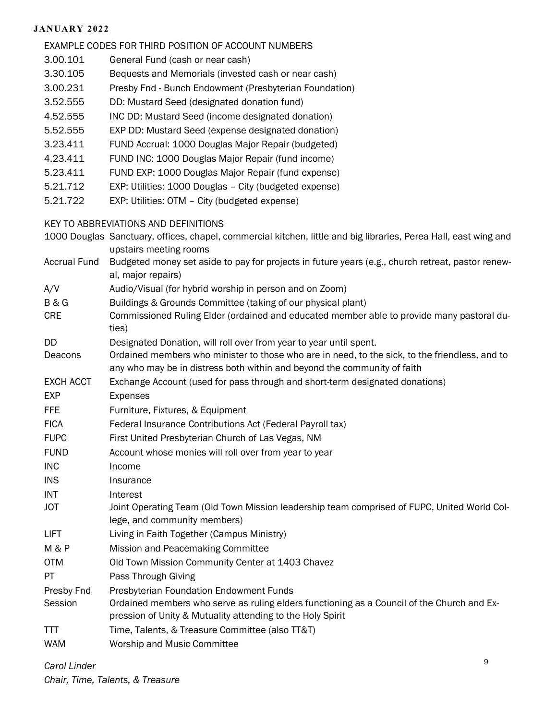#### **JANUARY 2022**

#### EXAMPLE CODES FOR THIRD POSITION OF ACCOUNT NUMBERS

- 3.00.101 General Fund (cash or near cash)
- 3.30.105 Bequests and Memorials (invested cash or near cash)
- 3.00.231 Presby Fnd Bunch Endowment (Presbyterian Foundation)
- 3.52.555 DD: Mustard Seed (designated donation fund)
- 4.52.555 INC DD: Mustard Seed (income designated donation)
- 5.52.555 EXP DD: Mustard Seed (expense designated donation)
- 3.23.411 FUND Accrual: 1000 Douglas Major Repair (budgeted)
- 4.23.411 FUND INC: 1000 Douglas Major Repair (fund income)
- 5.23.411 FUND EXP: 1000 Douglas Major Repair (fund expense)
- 5.21.712 EXP: Utilities: 1000 Douglas City (budgeted expense)
- 5.21.722 EXP: Utilities: OTM City (budgeted expense)

#### KEY TO ABBREVIATIONS AND DEFINITIONS

- 1000 Douglas Sanctuary, offices, chapel, commercial kitchen, little and big libraries, Perea Hall, east wing and upstairs meeting rooms
- Accrual Fund Budgeted money set aside to pay for projects in future years (e.g., church retreat, pastor renewal, major repairs)
- A/V Audio/Visual (for hybrid worship in person and on Zoom)
- B & G Buildings & Grounds Committee (taking of our physical plant)
- CRE Commissioned Ruling Elder (ordained and educated member able to provide many pastoral duties)
- DD Designated Donation, will roll over from year to year until spent.
- Deacons Ordained members who minister to those who are in need, to the sick, to the friendless, and to any who may be in distress both within and beyond the community of faith
- EXCH ACCT Exchange Account (used for pass through and short-term designated donations)
- EXP Expenses
- FFE Furniture, Fixtures, & Equipment
- FICA Federal Insurance Contributions Act (Federal Payroll tax)
- FUPC First United Presbyterian Church of Las Vegas, NM
- FUND Account whose monies will roll over from year to year
- INC Income
- INS Insurance
- INT Interest
- JOT Joint Operating Team (Old Town Mission leadership team comprised of FUPC, United World College, and community members)
- LIFT Living in Faith Together (Campus Ministry)
- M & P Mission and Peacemaking Committee
- OTM Old Town Mission Community Center at 1403 Chavez
- PT Pass Through Giving
- Presby Fnd Presbyterian Foundation Endowment Funds
- Session **Ordained members who serve as ruling elders functioning as a Council of the Church and Ex**pression of Unity & Mutuality attending to the Holy Spirit
- TTT Time, Talents, & Treasure Committee (also TT&T)
- WAM Worship and Music Committee